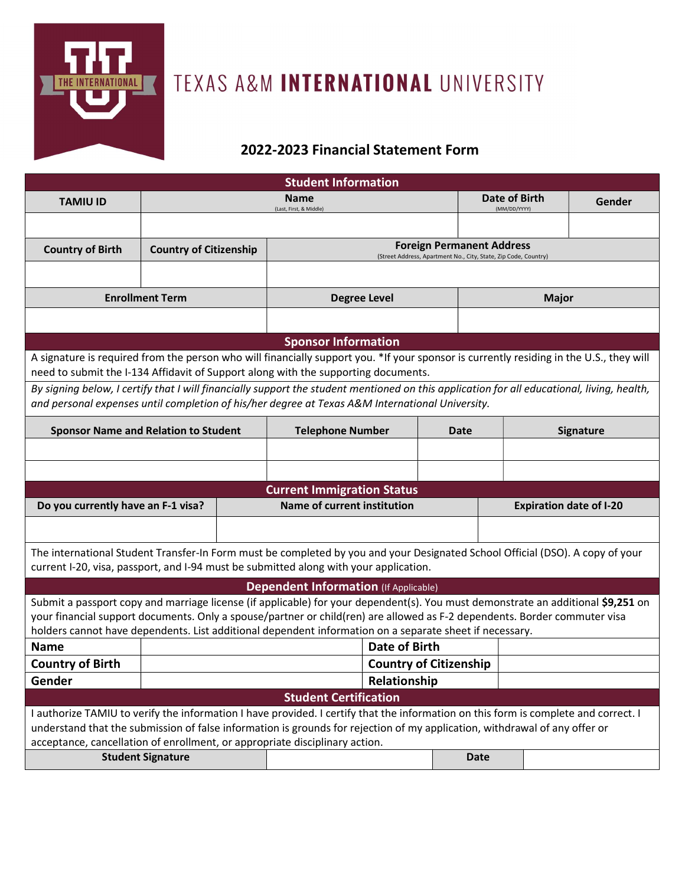

## TEXAS A&M INTERNATIONAL UNIVERSITY

## 2022-2023 Financial Statement Form

| <b>Student Information</b>                                                                                                                                                                                                    |                               |                                    |                                                                                                     |  |                                |                  |        |  |  |
|-------------------------------------------------------------------------------------------------------------------------------------------------------------------------------------------------------------------------------|-------------------------------|------------------------------------|-----------------------------------------------------------------------------------------------------|--|--------------------------------|------------------|--------|--|--|
| <b>TAMIU ID</b>                                                                                                                                                                                                               |                               |                                    | <b>Name</b>                                                                                         |  | Date of Birth<br>(MM/DD/YYYY)  |                  | Gender |  |  |
|                                                                                                                                                                                                                               |                               |                                    | (Last, First, & Middle)                                                                             |  |                                |                  |        |  |  |
|                                                                                                                                                                                                                               |                               |                                    |                                                                                                     |  |                                |                  |        |  |  |
| <b>Country of Birth</b>                                                                                                                                                                                                       | <b>Country of Citizenship</b> |                                    | <b>Foreign Permanent Address</b><br>(Street Address, Apartment No., City, State, Zip Code, Country) |  |                                |                  |        |  |  |
|                                                                                                                                                                                                                               |                               |                                    |                                                                                                     |  |                                |                  |        |  |  |
| <b>Enrollment Term</b>                                                                                                                                                                                                        |                               |                                    | <b>Degree Level</b>                                                                                 |  |                                | <b>Major</b>     |        |  |  |
|                                                                                                                                                                                                                               |                               |                                    |                                                                                                     |  |                                |                  |        |  |  |
|                                                                                                                                                                                                                               |                               |                                    |                                                                                                     |  |                                |                  |        |  |  |
| <b>Sponsor Information</b>                                                                                                                                                                                                    |                               |                                    |                                                                                                     |  |                                |                  |        |  |  |
| A signature is required from the person who will financially support you. *If your sponsor is currently residing in the U.S., they will<br>need to submit the I-134 Affidavit of Support along with the supporting documents. |                               |                                    |                                                                                                     |  |                                |                  |        |  |  |
| By signing below, I certify that I will financially support the student mentioned on this application for all educational, living, health,                                                                                    |                               |                                    |                                                                                                     |  |                                |                  |        |  |  |
| and personal expenses until completion of his/her degree at Texas A&M International University.                                                                                                                               |                               |                                    |                                                                                                     |  |                                |                  |        |  |  |
|                                                                                                                                                                                                                               |                               |                                    | <b>Telephone Number</b><br>Date                                                                     |  |                                | <b>Signature</b> |        |  |  |
| <b>Sponsor Name and Relation to Student</b>                                                                                                                                                                                   |                               |                                    |                                                                                                     |  |                                |                  |        |  |  |
|                                                                                                                                                                                                                               |                               |                                    |                                                                                                     |  |                                |                  |        |  |  |
|                                                                                                                                                                                                                               |                               |                                    |                                                                                                     |  |                                |                  |        |  |  |
|                                                                                                                                                                                                                               |                               |                                    | <b>Current Immigration Status</b>                                                                   |  |                                |                  |        |  |  |
| Do you currently have an F-1 visa?                                                                                                                                                                                            |                               | <b>Name of current institution</b> |                                                                                                     |  | <b>Expiration date of I-20</b> |                  |        |  |  |
|                                                                                                                                                                                                                               |                               |                                    |                                                                                                     |  |                                |                  |        |  |  |
| The international Student Transfer-In Form must be completed by you and your Designated School Official (DSO). A copy of your<br>current I-20, visa, passport, and I-94 must be submitted along with your application.        |                               |                                    |                                                                                                     |  |                                |                  |        |  |  |
|                                                                                                                                                                                                                               |                               |                                    | <b>Dependent Information (If Applicable)</b>                                                        |  |                                |                  |        |  |  |
| Submit a passport copy and marriage license (if applicable) for your dependent(s). You must demonstrate an additional \$9,251 on                                                                                              |                               |                                    |                                                                                                     |  |                                |                  |        |  |  |
| your financial support documents. Only a spouse/partner or child(ren) are allowed as F-2 dependents. Border commuter visa                                                                                                     |                               |                                    |                                                                                                     |  |                                |                  |        |  |  |
| holders cannot have dependents. List additional dependent information on a separate sheet if necessary.                                                                                                                       |                               |                                    |                                                                                                     |  |                                |                  |        |  |  |
| <b>Name</b>                                                                                                                                                                                                                   |                               | <b>Date of Birth</b>               |                                                                                                     |  |                                |                  |        |  |  |
| <b>Country of Birth</b>                                                                                                                                                                                                       |                               | <b>Country of Citizenship</b>      |                                                                                                     |  |                                |                  |        |  |  |
| Gender                                                                                                                                                                                                                        | Relationship                  |                                    |                                                                                                     |  |                                |                  |        |  |  |
| <b>Student Certification</b>                                                                                                                                                                                                  |                               |                                    |                                                                                                     |  |                                |                  |        |  |  |
| I authorize TAMIU to verify the information I have provided. I certify that the information on this form is complete and correct. I                                                                                           |                               |                                    |                                                                                                     |  |                                |                  |        |  |  |
| understand that the submission of false information is grounds for rejection of my application, withdrawal of any offer or<br>acceptance, cancellation of enrollment, or appropriate disciplinary action.                     |                               |                                    |                                                                                                     |  |                                |                  |        |  |  |
| <b>Student Signature</b><br><b>Date</b>                                                                                                                                                                                       |                               |                                    |                                                                                                     |  |                                |                  |        |  |  |
|                                                                                                                                                                                                                               |                               |                                    |                                                                                                     |  |                                |                  |        |  |  |